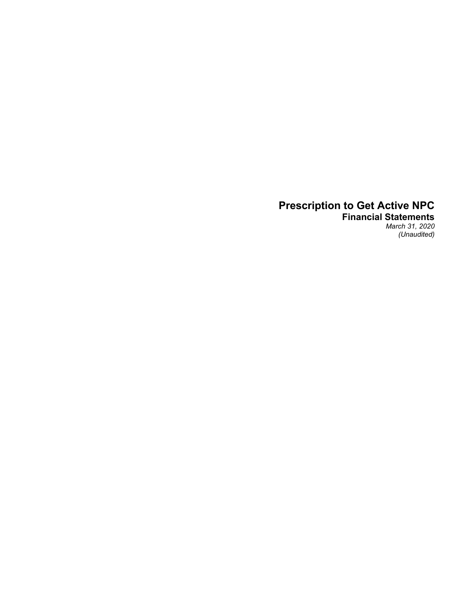**Financial Statements** *March 31, 2020 (Unaudited)*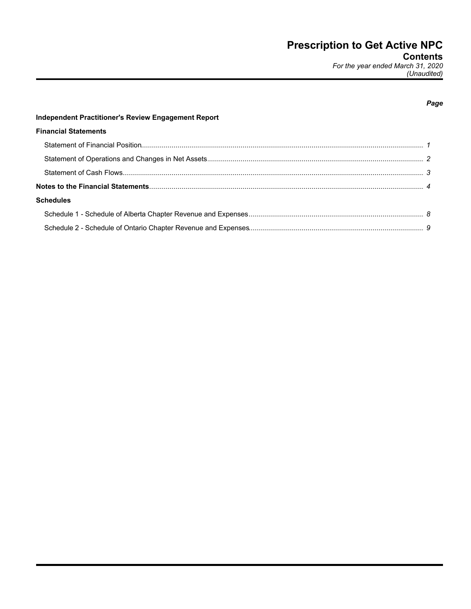### Page

 $\mathbf{\Omega}$ 

# Independent Practitioner's Review Engagement Report **Financial Statements** Statement of Operations and Changes in Net Assets

| <b>Schedules</b> |  |
|------------------|--|
|                  |  |
|                  |  |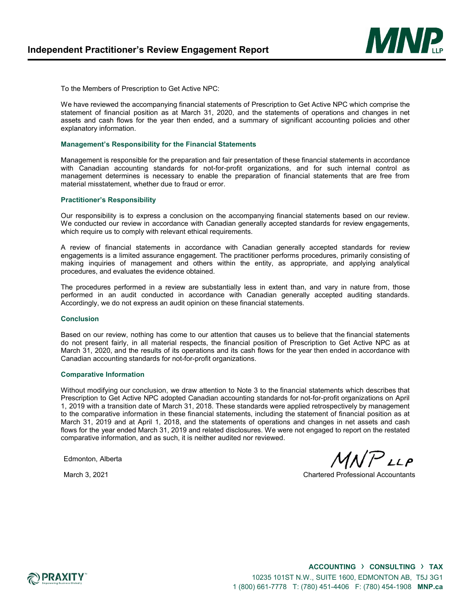

To the Members of Prescription to Get Active NPC:

We have reviewed the accompanying financial statements of Prescription to Get Active NPC which comprise the statement of financial position as at March 31, 2020, and the statements of operations and changes in net assets and cash flows for the year then ended, and a summary of significant accounting policies and other explanatory information.

#### **Management's Responsibility for the Financial Statements**

Management is responsible for the preparation and fair presentation of these financial statements in accordance with Canadian accounting standards for not-for-profit organizations, and for such internal control as management determines is necessary to enable the preparation of financial statements that are free from material misstatement, whether due to fraud or error.

#### **Practitioner's Responsibility**

Our responsibility is to express a conclusion on the accompanying financial statements based on our review. We conducted our review in accordance with Canadian generally accepted standards for review engagements, which require us to comply with relevant ethical requirements.

A review of financial statements in accordance with Canadian generally accepted standards for review engagements is a limited assurance engagement. The practitioner performs procedures, primarily consisting of making inquiries of management and others within the entity, as appropriate, and applying analytical procedures, and evaluates the evidence obtained.

The procedures performed in a review are substantially less in extent than, and vary in nature from, those performed in an audit conducted in accordance with Canadian generally accepted auditing standards. Accordingly, we do not express an audit opinion on these financial statements.

#### **Conclusion**

Based on our review, nothing has come to our attention that causes us to believe that the financial statements do not present fairly, in all material respects, the financial position of Prescription to Get Active NPC as at March 31, 2020, and the results of its operations and its cash flows for the year then ended in accordance with Canadian accounting standards for not-for-profit organizations.

#### **Comparative Information**

Without modifying our conclusion, we draw attention to Note 3 to the financial statements which describes that Prescription to Get Active NPC adopted Canadian accounting standards for not-for-profit organizations on April 1, 2019 with a transition date of March 31, 2018. These standards were applied retrospectively by management to the comparative information in these financial statements, including the statement of financial position as at March 31, 2019 and at April 1, 2018, and the statements of operations and changes in net assets and cash flows for the year ended March 31, 2019 and related disclosures. We were not engaged to report on the restated comparative information, and as such, it is neither audited nor reviewed.

Edmonton, Alberta

 $MINPLLP$ 

March 3, 2021 Chartered Professional Accountants

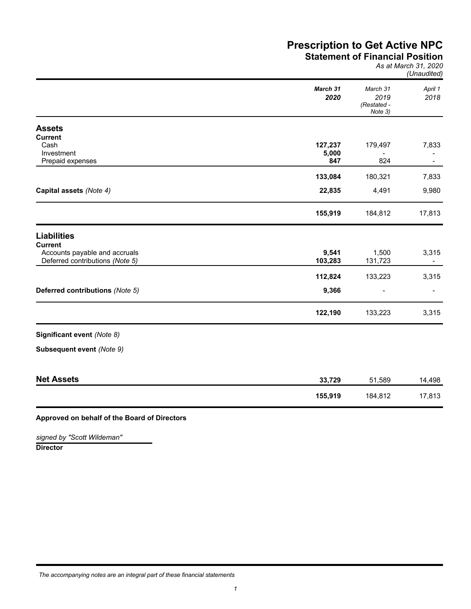## **Prescription to Get Active NPC Statement of Financial Position**

#### *As at March 31, 2020 (Unaudited)*

|                                                                  | March 31<br>2020 | March 31<br>2019<br>(Restated -<br>Note 3) | April 1<br>2018 |
|------------------------------------------------------------------|------------------|--------------------------------------------|-----------------|
| <b>Assets</b>                                                    |                  |                                            |                 |
| <b>Current</b>                                                   |                  |                                            |                 |
| Cash                                                             | 127,237          | 179,497                                    | 7,833           |
| Investment                                                       | 5,000            |                                            |                 |
| Prepaid expenses                                                 | 847              | 824                                        |                 |
|                                                                  | 133,084          | 180,321                                    | 7,833           |
| Capital assets (Note 4)                                          | 22,835           | 4,491                                      | 9,980           |
|                                                                  | 155,919          | 184,812                                    | 17,813          |
| <b>Liabilities</b>                                               |                  |                                            |                 |
| Current                                                          |                  |                                            |                 |
| Accounts payable and accruals<br>Deferred contributions (Note 5) | 9,541<br>103,283 | 1,500<br>131,723                           | 3,315           |
|                                                                  |                  |                                            |                 |
|                                                                  | 112,824          | 133,223                                    | 3,315           |
| Deferred contributions (Note 5)                                  | 9,366            |                                            |                 |
|                                                                  | 122,190          | 133,223                                    | 3,315           |
| Significant event (Note 8)                                       |                  |                                            |                 |
| Subsequent event (Note 9)                                        |                  |                                            |                 |
|                                                                  |                  |                                            |                 |
| <b>Net Assets</b>                                                | 33,729           | 51,589                                     | 14,498          |
|                                                                  | 155,919          | 184,812                                    | 17,813          |
|                                                                  |                  |                                            |                 |

### **Approved on behalf of the Board of Directors**

**Director** *signed by "Scott Wildeman"*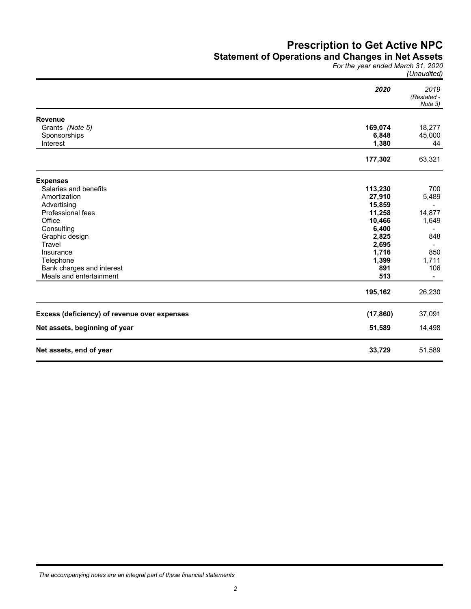### **Statement of Operations and Changes in Net Assets**

*For the year ended March 31, 2020 (Unaudited)*

|                                              | 2020      | 2019<br>(Restated -<br>Note 3) |
|----------------------------------------------|-----------|--------------------------------|
| <b>Revenue</b>                               |           |                                |
| Grants (Note 5)                              | 169,074   | 18,277                         |
| Sponsorships                                 | 6,848     | 45,000                         |
| Interest                                     | 1,380     | 44                             |
|                                              | 177,302   | 63,321                         |
| <b>Expenses</b>                              |           |                                |
| Salaries and benefits                        | 113,230   | 700                            |
| Amortization                                 | 27,910    | 5,489                          |
| Advertising                                  | 15,859    |                                |
| <b>Professional fees</b>                     | 11,258    | 14,877                         |
| Office                                       | 10,466    | 1,649                          |
| Consulting                                   | 6,400     | $\blacksquare$                 |
| Graphic design                               | 2,825     | 848                            |
| Travel                                       | 2,695     | $\blacksquare$                 |
| Insurance                                    | 1,716     | 850                            |
| Telephone                                    | 1,399     | 1,711                          |
| Bank charges and interest                    | 891       | 106                            |
| Meals and entertainment                      | 513       |                                |
|                                              | 195,162   | 26,230                         |
| Excess (deficiency) of revenue over expenses | (17, 860) | 37,091                         |
| Net assets, beginning of year                | 51,589    | 14,498                         |
| Net assets, end of year                      | 33,729    | 51,589                         |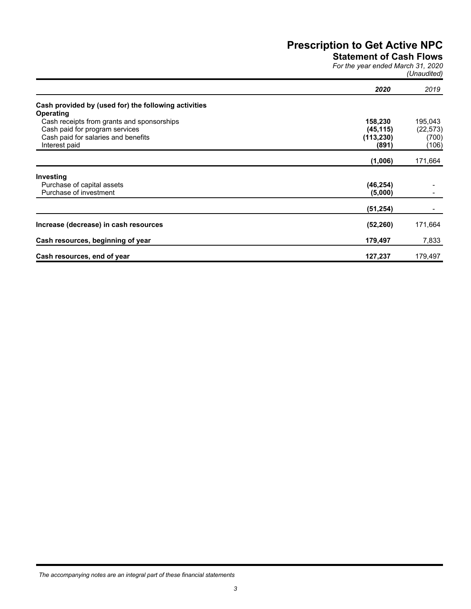**Statement of Cash Flows**

*For the year ended March 31, 2020 (Unaudited)*

|                                                      | 2020       | 2019      |
|------------------------------------------------------|------------|-----------|
| Cash provided by (used for) the following activities |            |           |
| <b>Operating</b>                                     |            |           |
| Cash receipts from grants and sponsorships           | 158,230    | 195,043   |
| Cash paid for program services                       | (45, 115)  | (22, 573) |
| Cash paid for salaries and benefits                  | (113, 230) | (700)     |
| Interest paid                                        | (891)      | (106)     |
|                                                      | (1,006)    | 171,664   |
| Investing                                            |            |           |
| Purchase of capital assets                           | (46, 254)  |           |
| Purchase of investment                               | (5,000)    |           |
|                                                      | (51, 254)  |           |
| Increase (decrease) in cash resources                | (52, 260)  | 171,664   |
| Cash resources, beginning of year                    | 179,497    | 7,833     |
| Cash resources, end of year                          | 127,237    | 179,497   |

*The accompanying notes are an integral part of these financial statements*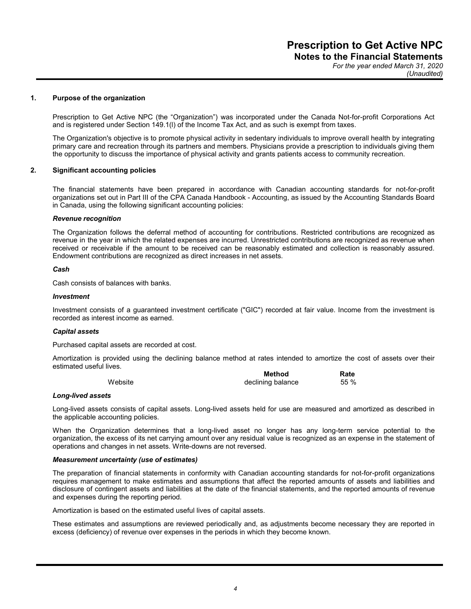*For the year ended March 31, 2020 (Unaudited)*

#### **1. Purpose of the organization**

Prescription to Get Active NPC (the "Organization") was incorporated under the Canada Not-for-profit Corporations Act and is registered under Section 149.1(l) of the Income Tax Act, and as such is exempt from taxes.

The Organization's objective is to promote physical activity in sedentary individuals to improve overall health by integrating primary care and recreation through its partners and members. Physicians provide a prescription to individuals giving them the opportunity to discuss the importance of physical activity and grants patients access to community recreation.

#### **2. Significant accounting policies**

The financial statements have been prepared in accordance with Canadian accounting standards for not-for-profit organizations set out in Part III of the CPA Canada Handbook - Accounting, as issued by the Accounting Standards Board in Canada, using the following significant accounting policies:

#### *Revenue recognition*

The Organization follows the deferral method of accounting for contributions. Restricted contributions are recognized as revenue in the year in which the related expenses are incurred. Unrestricted contributions are recognized as revenue when received or receivable if the amount to be received can be reasonably estimated and collection is reasonably assured. Endowment contributions are recognized as direct increases in net assets.

#### *Cash*

Cash consists of balances with banks.

#### *Investment*

Investment consists of a guaranteed investment certificate ("GIC") recorded at fair value. Income from the investment is recorded as interest income as earned.

#### *Capital assets*

Purchased capital assets are recorded at cost.

Amortization is provided using the declining balance method at rates intended to amortize the cost of assets over their estimated useful lives.

|         | <b>Method</b>     | Rate |
|---------|-------------------|------|
| Website | declining balance | 55 % |

#### *Long-lived assets*

Long-lived assets consists of capital assets. Long-lived assets held for use are measured and amortized as described in the applicable accounting policies.

When the Organization determines that a long-lived asset no longer has any long-term service potential to the organization, the excess of its net carrying amount over any residual value is recognized as an expense in the statement of operations and changes in net assets. Write-downs are not reversed.

#### *Measurement uncertainty (use of estimates)*

The preparation of financial statements in conformity with Canadian accounting standards for not-for-profit organizations requires management to make estimates and assumptions that affect the reported amounts of assets and liabilities and disclosure of contingent assets and liabilities at the date of the financial statements, and the reported amounts of revenue and expenses during the reporting period.

Amortization is based on the estimated useful lives of capital assets.

These estimates and assumptions are reviewed periodically and, as adjustments become necessary they are reported in excess (deficiency) of revenue over expenses in the periods in which they become known.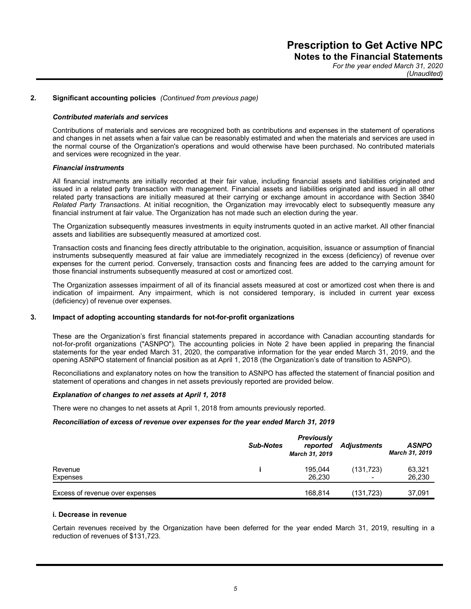*For the year ended March 31, 2020 (Unaudited)*

#### **2. Significant accounting policies** *(Continued from previous page)*

#### *Contributed materials and services*

Contributions of materials and services are recognized both as contributions and expenses in the statement of operations and changes in net assets when a fair value can be reasonably estimated and when the materials and services are used in the normal course of the Organization's operations and would otherwise have been purchased. No contributed materials and services were recognized in the year.

#### *Financial instruments*

All financial instruments are initially recorded at their fair value, including financial assets and liabilities originated and issued in a related party transaction with management. Financial assets and liabilities originated and issued in all other related party transactions are initially measured at their carrying or exchange amount in accordance with Section 3840 *Related Party Transactions*. At initial recognition, the Organization may irrevocably elect to subsequently measure any financial instrument at fair value. The Organization has not made such an election during the year.

The Organization subsequently measures investments in equity instruments quoted in an active market. All other financial assets and liabilities are subsequently measured at amortized cost.

Transaction costs and financing fees directly attributable to the origination, acquisition, issuance or assumption of financial instruments subsequently measured at fair value are immediately recognized in the excess (deficiency) of revenue over expenses for the current period. Conversely, transaction costs and financing fees are added to the carrying amount for those financial instruments subsequently measured at cost or amortized cost.

The Organization assesses impairment of all of its financial assets measured at cost or amortized cost when there is and indication of impairment. Any impairment, which is not considered temporary, is included in current year excess (deficiency) of revenue over expenses.

#### **3. Impact of adopting accounting standards for not-for-profit organizations**

These are the Organization's first financial statements prepared in accordance with Canadian accounting standards for not-for-profit organizations ("ASNPO"). The accounting policies in Note 2 have been applied in preparing the financial statements for the year ended March 31, 2020, the comparative information for the year ended March 31, 2019, and the opening ASNPO statement of financial position as at April 1, 2018 (the Organization's date of transition to ASNPO).

Reconciliations and explanatory notes on how the transition to ASNPO has affected the statement of financial position and statement of operations and changes in net assets previously reported are provided below.

#### *Explanation of changes to net assets at April 1, 2018*

There were no changes to net assets at April 1, 2018 from amounts previously reported.

#### *Reconciliation of excess of revenue over expenses for the year ended March 31, 2019*

|                                 | <b>Sub-Notes</b> | <b>Previously</b><br>reported<br>March 31, 2019 | <b>Adjustments</b> | <b>ASNPO</b><br>March 31, 2019 |
|---------------------------------|------------------|-------------------------------------------------|--------------------|--------------------------------|
| Revenue                         |                  | 195.044                                         | (131, 723)         | 63,321                         |
| Expenses                        |                  | 26.230                                          |                    | 26,230                         |
| Excess of revenue over expenses |                  | 168.814                                         | (131,723)          | 37,091                         |

#### **i. Decrease in revenue**

Certain revenues received by the Organization have been deferred for the year ended March 31, 2019, resulting in a reduction of revenues of \$131,723.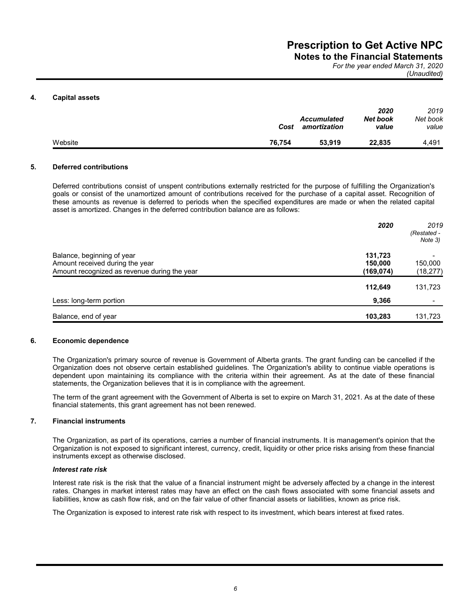**Notes to the Financial Statements** *For the year ended March 31, 2020*

*(Unaudited)*

#### **4. Capital assets**

|         | Cost   | <b>Accumulated</b><br>amortization | 2020<br>Net book<br>value | 2019<br>Net book<br>value |
|---------|--------|------------------------------------|---------------------------|---------------------------|
| Website | 76.754 | 53,919                             | 22.835                    | 4.491                     |

#### **5. Deferred contributions**

Deferred contributions consist of unspent contributions externally restricted for the purpose of fulfilling the Organization's goals or consist of the unamortized amount of contributions received for the purchase of a capital asset. Recognition of these amounts as revenue is deferred to periods when the specified expenditures are made or when the related capital asset is amortized. Changes in the deferred contribution balance are as follows:

|                                                                                                               | 2020                            | 2019<br>(Restated -<br>Note 3)         |
|---------------------------------------------------------------------------------------------------------------|---------------------------------|----------------------------------------|
| Balance, beginning of year<br>Amount received during the year<br>Amount recognized as revenue during the year | 131,723<br>150,000<br>(169,074) | $\blacksquare$<br>150,000<br>(18, 277) |
|                                                                                                               | 112,649                         | 131,723                                |
| Less: long-term portion                                                                                       | 9,366                           |                                        |
| Balance, end of year                                                                                          | 103,283                         | 131,723                                |

#### **6. Economic dependence**

The Organization's primary source of revenue is Government of Alberta grants. The grant funding can be cancelled if the Organization does not observe certain established guidelines. The Organization's ability to continue viable operations is dependent upon maintaining its compliance with the criteria within their agreement. As at the date of these financial statements, the Organization believes that it is in compliance with the agreement.

The term of the grant agreement with the Government of Alberta is set to expire on March 31, 2021. As at the date of these financial statements, this grant agreement has not been renewed.

### **7. Financial instruments**

The Organization, as part of its operations, carries a number of financial instruments. It is management's opinion that the Organization is not exposed to significant interest, currency, credit, liquidity or other price risks arising from these financial instruments except as otherwise disclosed.

#### *Interest rate risk*

Interest rate risk is the risk that the value of a financial instrument might be adversely affected by a change in the interest rates. Changes in market interest rates may have an effect on the cash flows associated with some financial assets and liabilities, know as cash flow risk, and on the fair value of other financial assets or liabilities, known as price risk.

The Organization is exposed to interest rate risk with respect to its investment, which bears interest at fixed rates.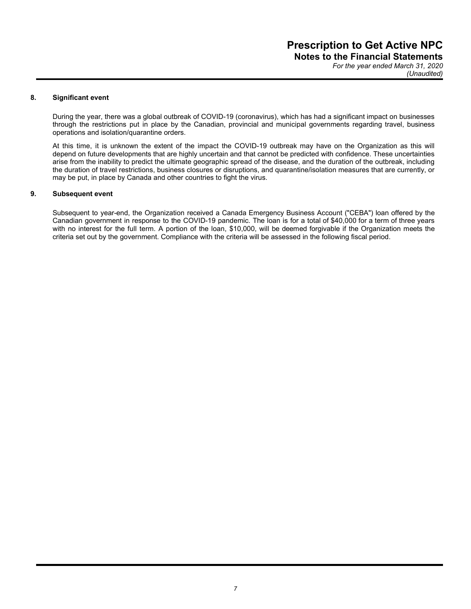*For the year ended March 31, 2020 (Unaudited)*

#### **8. Significant event**

During the year, there was a global outbreak of COVID-19 (coronavirus), which has had a significant impact on businesses through the restrictions put in place by the Canadian, provincial and municipal governments regarding travel, business operations and isolation/quarantine orders.

At this time, it is unknown the extent of the impact the COVID-19 outbreak may have on the Organization as this will depend on future developments that are highly uncertain and that cannot be predicted with confidence. These uncertainties arise from the inability to predict the ultimate geographic spread of the disease, and the duration of the outbreak, including the duration of travel restrictions, business closures or disruptions, and quarantine/isolation measures that are currently, or may be put, in place by Canada and other countries to fight the virus.

#### **9. Subsequent event**

Subsequent to year-end, the Organization received a Canada Emergency Business Account ("CEBA") loan offered by the Canadian government in response to the COVID-19 pandemic. The loan is for a total of \$40,000 for a term of three years with no interest for the full term. A portion of the loan, \$10,000, will be deemed forgivable if the Organization meets the criteria set out by the government. Compliance with the criteria will be assessed in the following fiscal period.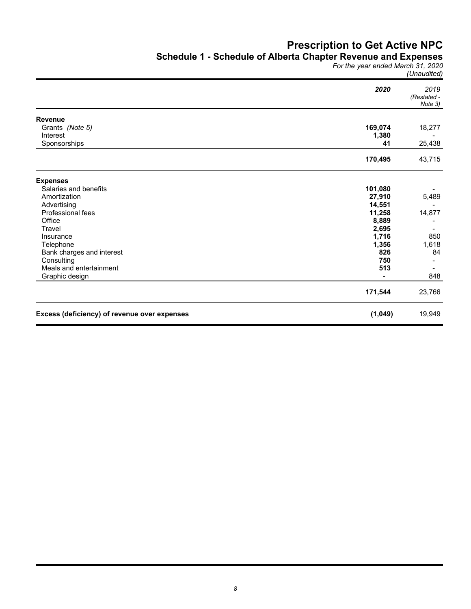### **Schedule 1 - Schedule of Alberta Chapter Revenue and Expenses**

*For the year ended March 31, 2020 (Unaudited)*

|                                              | 2020    | 2019<br>(Restated -<br>Note 3) |
|----------------------------------------------|---------|--------------------------------|
| <b>Revenue</b>                               |         |                                |
| Grants (Note 5)                              | 169,074 | 18,277                         |
| Interest                                     | 1,380   |                                |
| Sponsorships                                 | 41      | 25,438                         |
|                                              | 170,495 | 43,715                         |
| <b>Expenses</b>                              |         |                                |
| Salaries and benefits                        | 101,080 |                                |
| Amortization                                 | 27,910  | 5,489                          |
| Advertising                                  | 14,551  |                                |
| Professional fees                            | 11,258  | 14,877                         |
| Office                                       | 8,889   |                                |
| Travel                                       | 2,695   |                                |
| Insurance                                    | 1,716   | 850                            |
| Telephone                                    | 1,356   | 1,618                          |
| Bank charges and interest                    | 826     | 84                             |
| Consulting                                   | 750     |                                |
| Meals and entertainment                      | 513     |                                |
| Graphic design                               |         | 848                            |
|                                              | 171,544 | 23,766                         |
| Excess (deficiency) of revenue over expenses | (1,049) | 19,949                         |